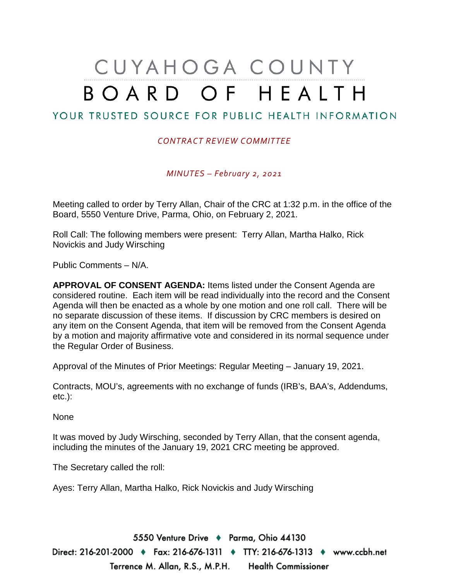## CUYAHOGA COUNTY BOARD OF HEALTH

## YOUR TRUSTED SOURCE FOR PUBLIC HEALTH INFORMATION

## *CONTRACT REVIEW COMMITTEE*

*MINUTES – February 2, 2021*

Meeting called to order by Terry Allan, Chair of the CRC at 1:32 p.m. in the office of the Board, 5550 Venture Drive, Parma, Ohio, on February 2, 2021.

Roll Call: The following members were present: Terry Allan, Martha Halko, Rick Novickis and Judy Wirsching

Public Comments – N/A.

**APPROVAL OF CONSENT AGENDA:** Items listed under the Consent Agenda are considered routine. Each item will be read individually into the record and the Consent Agenda will then be enacted as a whole by one motion and one roll call. There will be no separate discussion of these items. If discussion by CRC members is desired on any item on the Consent Agenda, that item will be removed from the Consent Agenda by a motion and majority affirmative vote and considered in its normal sequence under the Regular Order of Business.

Approval of the Minutes of Prior Meetings: Regular Meeting – January 19, 2021.

Contracts, MOU's, agreements with no exchange of funds (IRB's, BAA's, Addendums, etc.):

None

It was moved by Judy Wirsching, seconded by Terry Allan, that the consent agenda, including the minutes of the January 19, 2021 CRC meeting be approved.

The Secretary called the roll:

Ayes: Terry Allan, Martha Halko, Rick Novickis and Judy Wirsching

5550 Venture Drive + Parma, Ohio 44130 Direct: 216-201-2000 ♦ Fax: 216-676-1311 ♦ TTY: 216-676-1313 ♦ www.ccbh.net Terrence M. Allan, R.S., M.P.H. Health Commissioner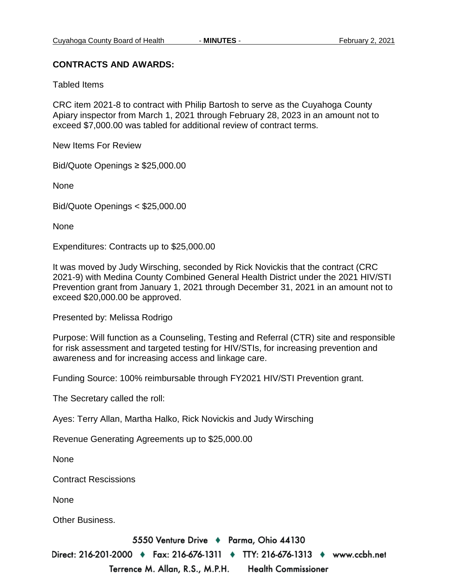## **CONTRACTS AND AWARDS:**

Tabled Items

CRC item 2021-8 to contract with Philip Bartosh to serve as the Cuyahoga County Apiary inspector from March 1, 2021 through February 28, 2023 in an amount not to exceed \$7,000.00 was tabled for additional review of contract terms.

New Items For Review

Bid/Quote Openings ≥ \$25,000.00

None

Bid/Quote Openings < \$25,000.00

None

Expenditures: Contracts up to \$25,000.00

It was moved by Judy Wirsching, seconded by Rick Novickis that the contract (CRC 2021-9) with Medina County Combined General Health District under the 2021 HIV/STI Prevention grant from January 1, 2021 through December 31, 2021 in an amount not to exceed \$20,000.00 be approved.

Presented by: Melissa Rodrigo

Purpose: Will function as a Counseling, Testing and Referral (CTR) site and responsible for risk assessment and targeted testing for HIV/STIs, for increasing prevention and awareness and for increasing access and linkage care.

Funding Source: 100% reimbursable through FY2021 HIV/STI Prevention grant.

The Secretary called the roll:

Ayes: Terry Allan, Martha Halko, Rick Novickis and Judy Wirsching

Revenue Generating Agreements up to \$25,000.00

**None** 

Contract Rescissions

None

Other Business.

5550 Venture Drive + Parma, Ohio 44130

Direct: 216-201-2000 • Fax: 216-676-1311 • TTY: 216-676-1313 • www.ccbh.net

Terrence M. Allan, R.S., M.P.H. **Health Commissioner**